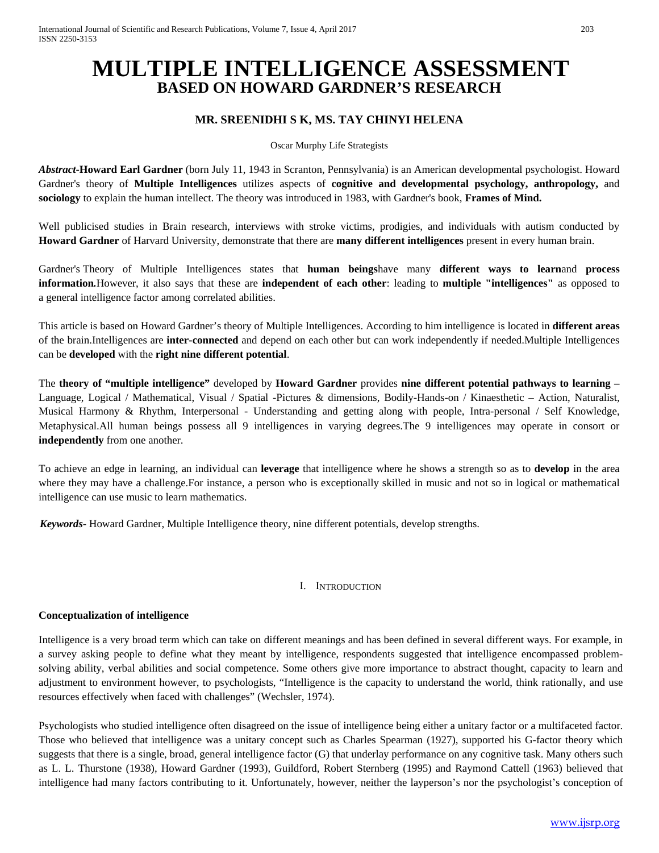# **MULTIPLE INTELLIGENCE ASSESSMENT BASED ON HOWARD GARDNER'S RESEARCH**

# **MR. SREENIDHI S K, MS. TAY CHINYI HELENA**

Oscar Murphy Life Strategists

*Abstract***-Howard Earl Gardner** (born July 11, 1943 in Scranton, Pennsylvania) is an American developmental psychologist. Howard Gardner's theory of **Multiple Intelligences** utilizes aspects of **cognitive and developmental psychology, anthropology,** and **sociology** to explain the human intellect. The theory was introduced in 1983, with Gardner's book, **Frames of Mind.**

Well publicised studies in Brain research, interviews with stroke victims, prodigies, and individuals with autism conducted by **Howard Gardner** of Harvard University, demonstrate that there are **many different intelligences** present in every human brain.

Gardner's Theory of Multiple Intelligences states that **human beings**have many **different ways to learn**and **process information***.*However, it also says that these are **independent of each other**: leading to **multiple "intelligences"** as opposed to a general intelligence factor among correlated abilities.

This article is based on Howard Gardner's theory of Multiple Intelligences. According to him intelligence is located in **different areas**  of the brain.Intelligences are **inter-connected** and depend on each other but can work independently if needed.Multiple Intelligences can be **developed** with the **right nine different potential**.

The **theory of "multiple intelligence"** developed by **Howard Gardner** provides **nine different potential pathways to learning –** Language, Logical / Mathematical, Visual / Spatial -Pictures & dimensions, Bodily-Hands-on / Kinaesthetic – Action, Naturalist, Musical Harmony & Rhythm, Interpersonal - Understanding and getting along with people, Intra-personal / Self Knowledge, Metaphysical.All human beings possess all 9 intelligences in varying degrees.The 9 intelligences may operate in consort or **independently** from one another.

To achieve an edge in learning, an individual can **leverage** that intelligence where he shows a strength so as to **develop** in the area where they may have a challenge.For instance, a person who is exceptionally skilled in music and not so in logical or mathematical intelligence can use music to learn mathematics.

 *Keywords*- Howard Gardner, Multiple Intelligence theory, nine different potentials, develop strengths.

# I. INTRODUCTION

# **Conceptualization of intelligence**

Intelligence is a very broad term which can take on different meanings and has been defined in several different ways. For example, in a survey asking people to define what they meant by intelligence, respondents suggested that intelligence encompassed problemsolving ability, verbal abilities and social competence. Some others give more importance to abstract thought, capacity to learn and adjustment to environment however, to psychologists, "Intelligence is the capacity to understand the world, think rationally, and use resources effectively when faced with challenges" (Wechsler, 1974).

Psychologists who studied intelligence often disagreed on the issue of intelligence being either a unitary factor or a multifaceted factor. Those who believed that intelligence was a unitary concept such as Charles Spearman (1927), supported his G-factor theory which suggests that there is a single, broad, general intelligence factor (G) that underlay performance on any cognitive task. Many others such as L. L. Thurstone (1938), Howard Gardner (1993), Guildford, Robert Sternberg (1995) and Raymond Cattell (1963) believed that intelligence had many factors contributing to it. Unfortunately, however, neither the layperson's nor the psychologist's conception of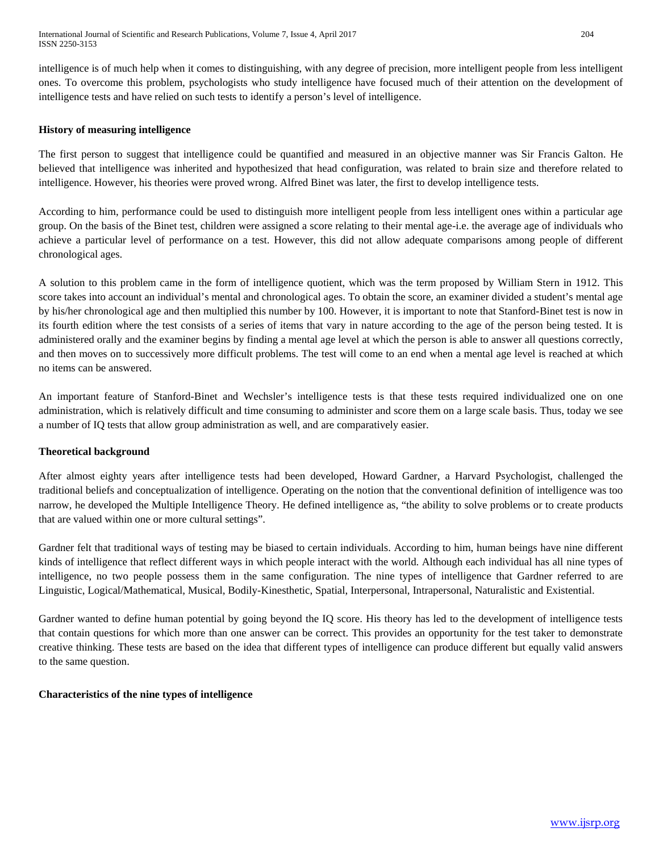intelligence is of much help when it comes to distinguishing, with any degree of precision, more intelligent people from less intelligent ones. To overcome this problem, psychologists who study intelligence have focused much of their attention on the development of intelligence tests and have relied on such tests to identify a person's level of intelligence.

# **History of measuring intelligence**

The first person to suggest that intelligence could be quantified and measured in an objective manner was Sir Francis Galton. He believed that intelligence was inherited and hypothesized that head configuration, was related to brain size and therefore related to intelligence. However, his theories were proved wrong. Alfred Binet was later, the first to develop intelligence tests.

According to him, performance could be used to distinguish more intelligent people from less intelligent ones within a particular age group. On the basis of the Binet test, children were assigned a score relating to their mental age-i.e. the average age of individuals who achieve a particular level of performance on a test. However, this did not allow adequate comparisons among people of different chronological ages.

A solution to this problem came in the form of intelligence quotient, which was the term proposed by William Stern in 1912. This score takes into account an individual's mental and chronological ages. To obtain the score, an examiner divided a student's mental age by his/her chronological age and then multiplied this number by 100. However, it is important to note that Stanford-Binet test is now in its fourth edition where the test consists of a series of items that vary in nature according to the age of the person being tested. It is administered orally and the examiner begins by finding a mental age level at which the person is able to answer all questions correctly, and then moves on to successively more difficult problems. The test will come to an end when a mental age level is reached at which no items can be answered.

An important feature of Stanford-Binet and Wechsler's intelligence tests is that these tests required individualized one on one administration, which is relatively difficult and time consuming to administer and score them on a large scale basis. Thus, today we see a number of IQ tests that allow group administration as well, and are comparatively easier.

## **Theoretical background**

After almost eighty years after intelligence tests had been developed, Howard Gardner, a Harvard Psychologist, challenged the traditional beliefs and conceptualization of intelligence. Operating on the notion that the conventional definition of intelligence was too narrow, he developed the Multiple Intelligence Theory. He defined intelligence as, "the ability to solve problems or to create products that are valued within one or more cultural settings".

Gardner felt that traditional ways of testing may be biased to certain individuals. According to him, human beings have nine different kinds of intelligence that reflect different ways in which people interact with the world. Although each individual has all nine types of intelligence, no two people possess them in the same configuration. The nine types of intelligence that Gardner referred to are Linguistic, Logical/Mathematical, Musical, Bodily-Kinesthetic, Spatial, Interpersonal, Intrapersonal, Naturalistic and Existential.

Gardner wanted to define human potential by going beyond the IQ score. His theory has led to the development of intelligence tests that contain questions for which more than one answer can be correct. This provides an opportunity for the test taker to demonstrate creative thinking. These tests are based on the idea that different types of intelligence can produce different but equally valid answers to the same question.

## **Characteristics of the nine types of intelligence**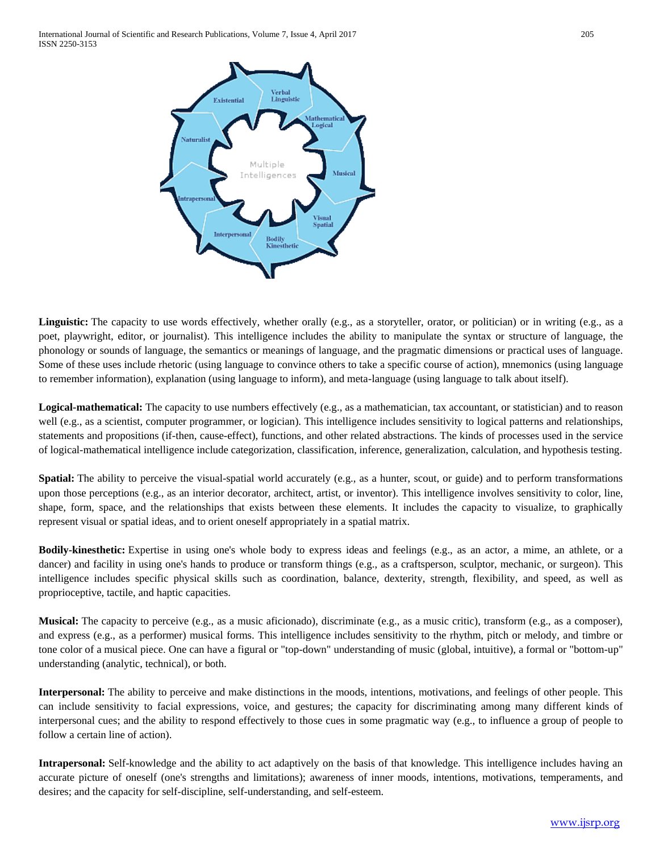

Linguistic: The capacity to use words effectively, whether orally (e.g., as a storyteller, orator, or politician) or in writing (e.g., as a poet, playwright, editor, or journalist). This intelligence includes the ability to manipulate the syntax or structure of language, the phonology or sounds of language, the semantics or meanings of language, and the pragmatic dimensions or practical uses of language. Some of these uses include rhetoric (using language to convince others to take a specific course of action), mnemonics (using language to remember information), explanation (using language to inform), and meta-language (using language to talk about itself).

Logical-mathematical: The capacity to use numbers effectively (e.g., as a mathematician, tax accountant, or statistician) and to reason well (e.g., as a scientist, computer programmer, or logician). This intelligence includes sensitivity to logical patterns and relationships, statements and propositions (if-then, cause-effect), functions, and other related abstractions. The kinds of processes used in the service of logical-mathematical intelligence include categorization, classification, inference, generalization, calculation, and hypothesis testing.

**Spatial:** The ability to perceive the visual-spatial world accurately (e.g., as a hunter, scout, or guide) and to perform transformations upon those perceptions (e.g., as an interior decorator, architect, artist, or inventor). This intelligence involves sensitivity to color, line, shape, form, space, and the relationships that exists between these elements. It includes the capacity to visualize, to graphically represent visual or spatial ideas, and to orient oneself appropriately in a spatial matrix.

**Bodily-kinesthetic:** Expertise in using one's whole body to express ideas and feelings (e.g., as an actor, a mime, an athlete, or a dancer) and facility in using one's hands to produce or transform things (e.g., as a craftsperson, sculptor, mechanic, or surgeon). This intelligence includes specific physical skills such as coordination, balance, dexterity, strength, flexibility, and speed, as well as proprioceptive, tactile, and haptic capacities.

**Musical:** The capacity to perceive (e.g., as a music aficionado), discriminate (e.g., as a music critic), transform (e.g., as a composer), and express (e.g., as a performer) musical forms. This intelligence includes sensitivity to the rhythm, pitch or melody, and timbre or tone color of a musical piece. One can have a figural or "top-down" understanding of music (global, intuitive), a formal or "bottom-up" understanding (analytic, technical), or both.

**Interpersonal:** The ability to perceive and make distinctions in the moods, intentions, motivations, and feelings of other people. This can include sensitivity to facial expressions, voice, and gestures; the capacity for discriminating among many different kinds of interpersonal cues; and the ability to respond effectively to those cues in some pragmatic way (e.g., to influence a group of people to follow a certain line of action).

**Intrapersonal:** Self-knowledge and the ability to act adaptively on the basis of that knowledge. This intelligence includes having an accurate picture of oneself (one's strengths and limitations); awareness of inner moods, intentions, motivations, temperaments, and desires; and the capacity for self-discipline, self-understanding, and self-esteem.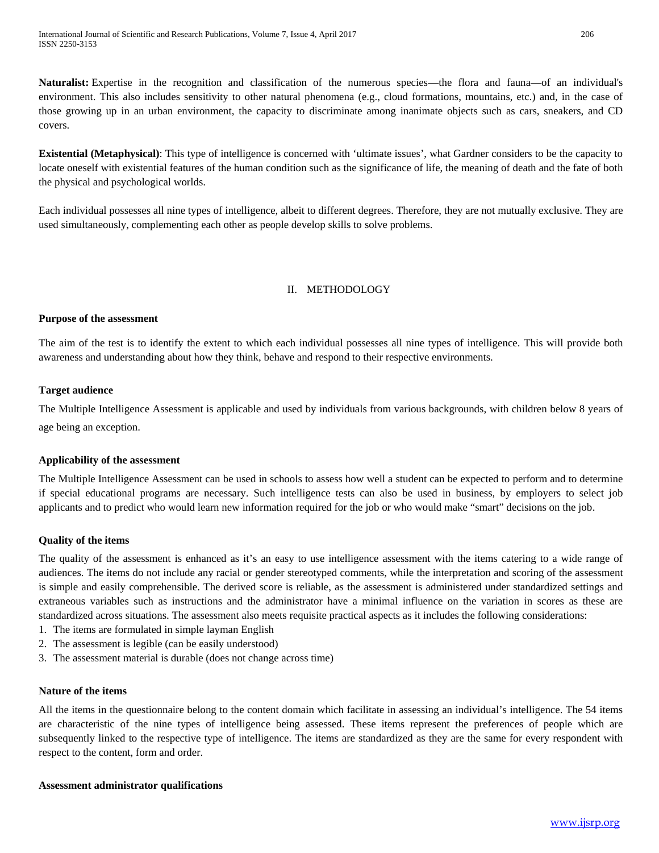**Naturalist:** Expertise in the recognition and classification of the numerous species—the flora and fauna—of an individual's environment. This also includes sensitivity to other natural phenomena (e.g., cloud formations, mountains, etc.) and, in the case of those growing up in an urban environment, the capacity to discriminate among inanimate objects such as cars, sneakers, and CD covers.

**Existential (Metaphysical)**: This type of intelligence is concerned with 'ultimate issues', what Gardner considers to be the capacity to locate oneself with existential features of the human condition such as the significance of life, the meaning of death and the fate of both the physical and psychological worlds.

Each individual possesses all nine types of intelligence, albeit to different degrees. Therefore, they are not mutually exclusive. They are used simultaneously, complementing each other as people develop skills to solve problems.

# II. METHODOLOGY

# **Purpose of the assessment**

The aim of the test is to identify the extent to which each individual possesses all nine types of intelligence. This will provide both awareness and understanding about how they think, behave and respond to their respective environments.

# **Target audience**

The Multiple Intelligence Assessment is applicable and used by individuals from various backgrounds, with children below 8 years of age being an exception.

## **Applicability of the assessment**

The Multiple Intelligence Assessment can be used in schools to assess how well a student can be expected to perform and to determine if special educational programs are necessary. Such intelligence tests can also be used in business, by employers to select job applicants and to predict who would learn new information required for the job or who would make "smart" decisions on the job.

## **Quality of the items**

The quality of the assessment is enhanced as it's an easy to use intelligence assessment with the items catering to a wide range of audiences. The items do not include any racial or gender stereotyped comments, while the interpretation and scoring of the assessment is simple and easily comprehensible. The derived score is reliable, as the assessment is administered under standardized settings and extraneous variables such as instructions and the administrator have a minimal influence on the variation in scores as these are standardized across situations. The assessment also meets requisite practical aspects as it includes the following considerations:

- 1. The items are formulated in simple layman English
- 2. The assessment is legible (can be easily understood)
- 3. The assessment material is durable (does not change across time)

## **Nature of the items**

All the items in the questionnaire belong to the content domain which facilitate in assessing an individual's intelligence. The 54 items are characteristic of the nine types of intelligence being assessed. These items represent the preferences of people which are subsequently linked to the respective type of intelligence. The items are standardized as they are the same for every respondent with respect to the content, form and order.

## **Assessment administrator qualifications**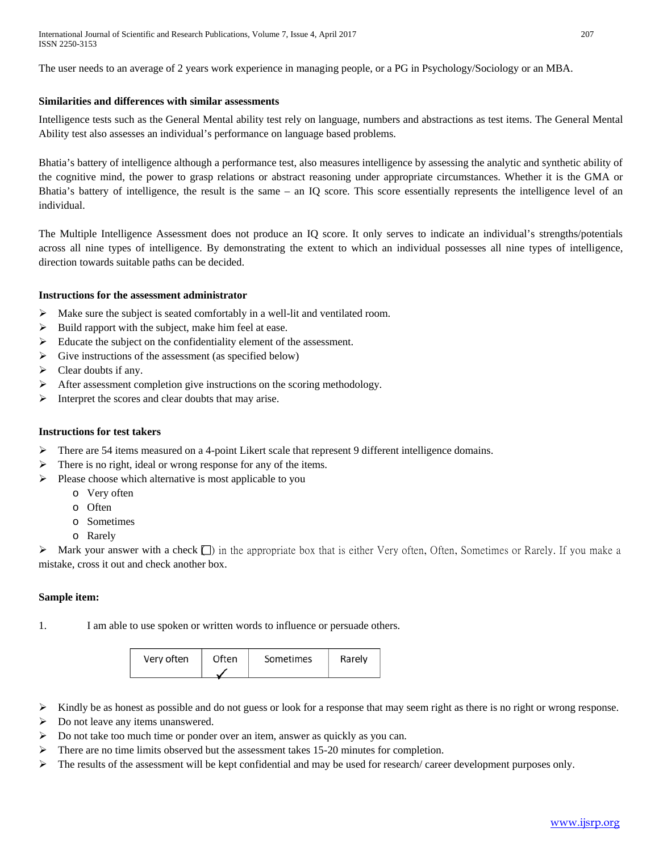The user needs to an average of 2 years work experience in managing people, or a PG in Psychology/Sociology or an MBA.

# **Similarities and differences with similar assessments**

Intelligence tests such as the General Mental ability test rely on language, numbers and abstractions as test items. The General Mental Ability test also assesses an individual's performance on language based problems.

Bhatia's battery of intelligence although a performance test, also measures intelligence by assessing the analytic and synthetic ability of the cognitive mind, the power to grasp relations or abstract reasoning under appropriate circumstances. Whether it is the GMA or Bhatia's battery of intelligence, the result is the same – an IQ score. This score essentially represents the intelligence level of an individual.

The Multiple Intelligence Assessment does not produce an IQ score. It only serves to indicate an individual's strengths/potentials across all nine types of intelligence. By demonstrating the extent to which an individual possesses all nine types of intelligence, direction towards suitable paths can be decided.

# **Instructions for the assessment administrator**

- Make sure the subject is seated comfortably in a well-lit and ventilated room.
- $\triangleright$  Build rapport with the subject, make him feel at ease.
- $\triangleright$  Educate the subject on the confidentiality element of the assessment.
- $\triangleright$  Give instructions of the assessment (as specified below)
- $\triangleright$  Clear doubts if any.
- $\triangleright$  After assessment completion give instructions on the scoring methodology.
- $\triangleright$  Interpret the scores and clear doubts that may arise.

# **Instructions for test takers**

- $\triangleright$  There are 54 items measured on a 4-point Likert scale that represent 9 different intelligence domains.
- > There is no right, ideal or wrong response for any of the items.
- $\triangleright$  Please choose which alternative is most applicable to you
	- o Very often
	- o Often
	- o Sometimes
	- o Rarely

 $\triangleright$  Mark your answer with a check  $\square$ ) in the appropriate box that is either Very often, Often, Sometimes or Rarely. If you make a mistake, cross it out and check another box.

# **Sample item:**

1. I am able to use spoken or written words to influence or persuade others.

| Very often | Often | Sometimes | Rarely |
|------------|-------|-----------|--------|
|            |       |           |        |

- $\triangleright$  Kindly be as honest as possible and do not guess or look for a response that may seem right as there is no right or wrong response.
- $\triangleright$  Do not leave any items unanswered.
- $\triangleright$  Do not take too much time or ponder over an item, answer as quickly as you can.
- There are no time limits observed but the assessment takes 15-20 minutes for completion.
- $\triangleright$  The results of the assessment will be kept confidential and may be used for research/ career development purposes only.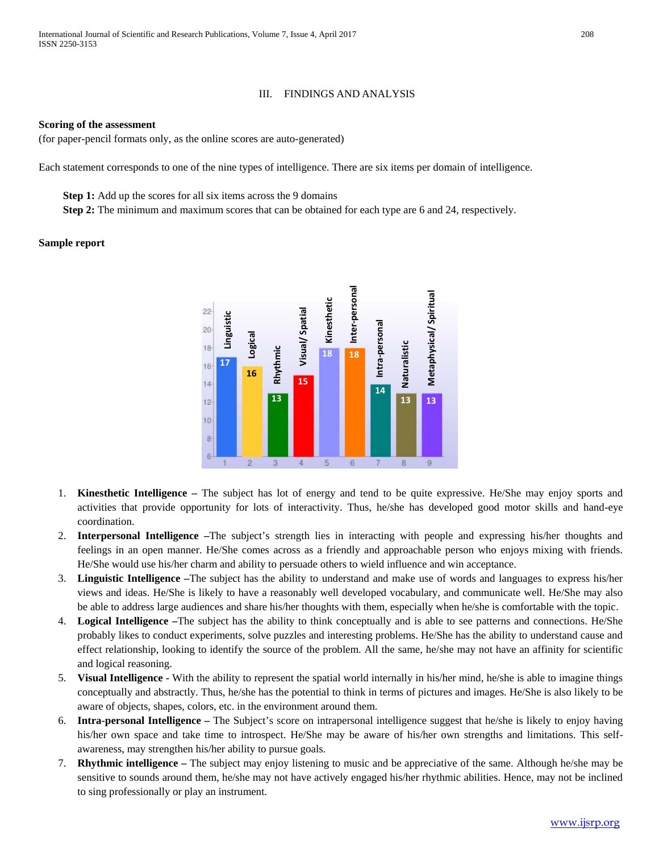#### III. FINDINGS AND ANALYSIS

#### **Scoring of the assessment**

(for paper-pencil formats only, as the online scores are auto-generated)

Each statement corresponds to one of the nine types of intelligence. There are six items per domain of intelligence.

**Step 1:** Add up the scores for all six items across the 9 domains

**Step 2:** The minimum and maximum scores that can be obtained for each type are 6 and 24, respectively.

## **Sample report**



- 1. **Kinesthetic Intelligence –** The subject has lot of energy and tend to be quite expressive. He/She may enjoy sports and activities that provide opportunity for lots of interactivity. Thus, he/she has developed good motor skills and hand-eye coordination.
- 2. **Interpersonal Intelligence –**The subject's strength lies in interacting with people and expressing his/her thoughts and feelings in an open manner. He/She comes across as a friendly and approachable person who enjoys mixing with friends. He/She would use his/her charm and ability to persuade others to wield influence and win acceptance.
- 3. **Linguistic Intelligence –**The subject has the ability to understand and make use of words and languages to express his/her views and ideas. He/She is likely to have a reasonably well developed vocabulary, and communicate well. He/She may also be able to address large audiences and share his/her thoughts with them, especially when he/she is comfortable with the topic.
- 4. **Logical Intelligence –**The subject has the ability to think conceptually and is able to see patterns and connections. He/She probably likes to conduct experiments, solve puzzles and interesting problems. He/She has the ability to understand cause and effect relationship, looking to identify the source of the problem. All the same, he/she may not have an affinity for scientific and logical reasoning.
- 5. **Visual Intelligence -** With the ability to represent the spatial world internally in his/her mind, he/she is able to imagine things conceptually and abstractly. Thus, he/she has the potential to think in terms of pictures and images. He/She is also likely to be aware of objects, shapes, colors, etc. in the environment around them.
- 6. **Intra-personal Intelligence –** The Subject's score on intrapersonal intelligence suggest that he/she is likely to enjoy having his/her own space and take time to introspect. He/She may be aware of his/her own strengths and limitations. This selfawareness, may strengthen his/her ability to pursue goals.
- 7. **Rhythmic intelligence –** The subject may enjoy listening to music and be appreciative of the same. Although he/she may be sensitive to sounds around them, he/she may not have actively engaged his/her rhythmic abilities. Hence, may not be inclined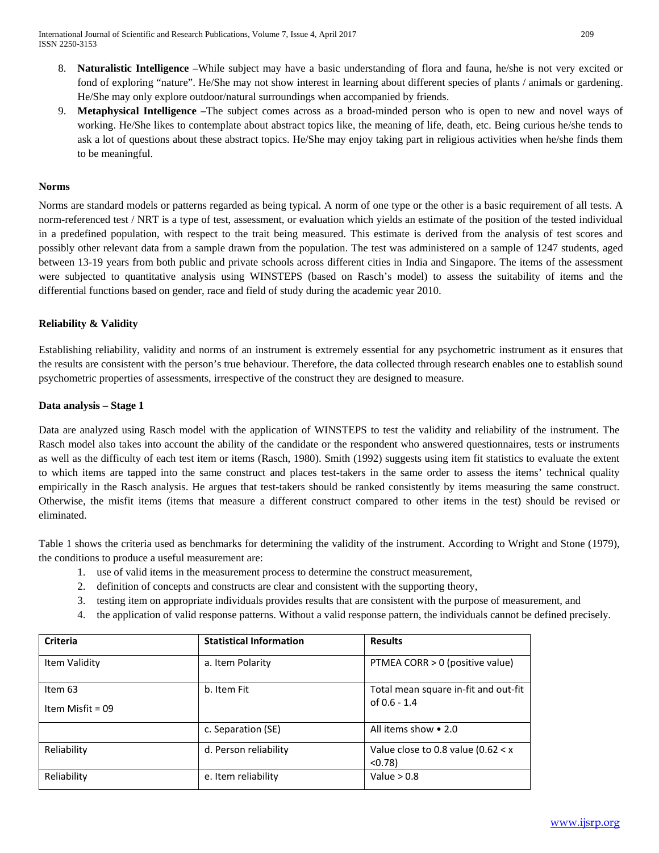- 8. **Naturalistic Intelligence –**While subject may have a basic understanding of flora and fauna, he/she is not very excited or fond of exploring "nature". He/She may not show interest in learning about different species of plants / animals or gardening. He/She may only explore outdoor/natural surroundings when accompanied by friends.
- 9. **Metaphysical Intelligence –**The subject comes across as a broad-minded person who is open to new and novel ways of working. He/She likes to contemplate about abstract topics like, the meaning of life, death, etc. Being curious he/she tends to ask a lot of questions about these abstract topics. He/She may enjoy taking part in religious activities when he/she finds them to be meaningful.

# **Norms**

Norms are standard models or patterns regarded as being typical. A norm of one type or the other is a basic requirement of all tests. A norm-referenced test / NRT is a type of test, assessment, or evaluation which yields an estimate of the position of the tested individual in a predefined population, with respect to the trait being measured. This estimate is derived from the analysis of test scores and possibly other relevant data from a sample drawn from the population. The test was administered on a sample of 1247 students, aged between 13-19 years from both public and private schools across different cities in India and Singapore. The items of the assessment were subjected to quantitative analysis using WINSTEPS (based on Rasch's model) to assess the suitability of items and the differential functions based on gender, race and field of study during the academic year 2010.

# **Reliability & Validity**

Establishing reliability, validity and norms of an instrument is extremely essential for any psychometric instrument as it ensures that the results are consistent with the person's true behaviour. Therefore, the data collected through research enables one to establish sound psychometric properties of assessments, irrespective of the construct they are designed to measure.

# **Data analysis – Stage 1**

Data are analyzed using Rasch model with the application of WINSTEPS to test the validity and reliability of the instrument. The Rasch model also takes into account the ability of the candidate or the respondent who answered questionnaires, tests or instruments as well as the difficulty of each test item or items (Rasch, 1980). Smith (1992) suggests using item fit statistics to evaluate the extent to which items are tapped into the same construct and places test-takers in the same order to assess the items' technical quality empirically in the Rasch analysis. He argues that test-takers should be ranked consistently by items measuring the same construct. Otherwise, the misfit items (items that measure a different construct compared to other items in the test) should be revised or eliminated.

Table 1 shows the criteria used as benchmarks for determining the validity of the instrument. According to Wright and Stone (1979), the conditions to produce a useful measurement are:

- 1. use of valid items in the measurement process to determine the construct measurement,
- 2. definition of concepts and constructs are clear and consistent with the supporting theory,
- 3. testing item on appropriate individuals provides results that are consistent with the purpose of measurement, and
- 4. the application of valid response patterns. Without a valid response pattern, the individuals cannot be defined precisely.

| <b>Criteria</b>    | <b>Statistical Information</b> | <b>Results</b>                                 |
|--------------------|--------------------------------|------------------------------------------------|
| Item Validity      | a. Item Polarity               | PTMEA CORR > 0 (positive value)                |
| Item 63            | b. Item Fit                    | Total mean square in-fit and out-fit           |
| Item Misfit = $09$ |                                | of $0.6 - 1.4$                                 |
|                    | c. Separation (SE)             | All items show • 2.0                           |
| Reliability        | d. Person reliability          | Value close to 0.8 value (0.62 $< x$<br>< 0.78 |
| Reliability        | e. Item reliability            | Value $> 0.8$                                  |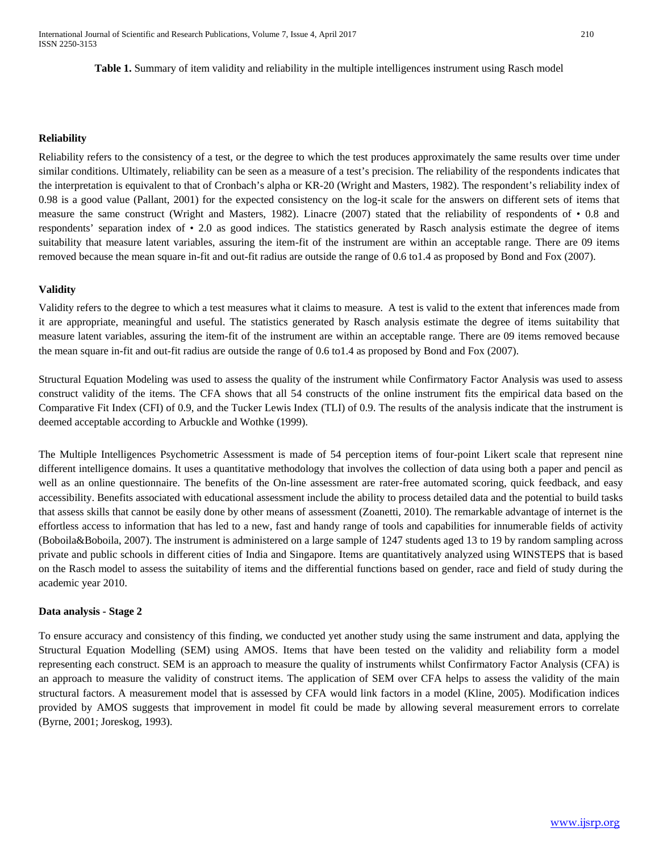## **Reliability**

Reliability refers to the consistency of a test, or the degree to which the test produces approximately the same results over time under similar conditions. Ultimately, reliability can be seen as a measure of a test's precision. The reliability of the respondents indicates that the interpretation is equivalent to that of Cronbach's alpha or KR-20 (Wright and Masters, 1982). The respondent's reliability index of 0.98 is a good value (Pallant, 2001) for the expected consistency on the log-it scale for the answers on different sets of items that measure the same construct (Wright and Masters, 1982). Linacre (2007) stated that the reliability of respondents of • 0.8 and respondents' separation index of • 2.0 as good indices. The statistics generated by Rasch analysis estimate the degree of items suitability that measure latent variables, assuring the item-fit of the instrument are within an acceptable range. There are 09 items removed because the mean square in-fit and out-fit radius are outside the range of 0.6 to1.4 as proposed by Bond and Fox (2007).

# **Validity**

Validity refers to the degree to which a test measures what it claims to measure. A test is valid to the extent that inferences made from it are appropriate, meaningful and useful. The statistics generated by Rasch analysis estimate the degree of items suitability that measure latent variables, assuring the item-fit of the instrument are within an acceptable range. There are 09 items removed because the mean square in-fit and out-fit radius are outside the range of 0.6 to1.4 as proposed by Bond and Fox (2007).

Structural Equation Modeling was used to assess the quality of the instrument while Confirmatory Factor Analysis was used to assess construct validity of the items. The CFA shows that all 54 constructs of the online instrument fits the empirical data based on the Comparative Fit Index (CFI) of 0.9, and the Tucker Lewis Index (TLI) of 0.9. The results of the analysis indicate that the instrument is deemed acceptable according to Arbuckle and Wothke (1999).

The Multiple Intelligences Psychometric Assessment is made of 54 perception items of four-point Likert scale that represent nine different intelligence domains. It uses a quantitative methodology that involves the collection of data using both a paper and pencil as well as an online questionnaire. The benefits of the On-line assessment are rater-free automated scoring, quick feedback, and easy accessibility. Benefits associated with educational assessment include the ability to process detailed data and the potential to build tasks that assess skills that cannot be easily done by other means of assessment (Zoanetti, 2010). The remarkable advantage of internet is the effortless access to information that has led to a new, fast and handy range of tools and capabilities for innumerable fields of activity (Boboila&Boboila, 2007). The instrument is administered on a large sample of 1247 students aged 13 to 19 by random sampling across private and public schools in different cities of India and Singapore. Items are quantitatively analyzed using WINSTEPS that is based on the Rasch model to assess the suitability of items and the differential functions based on gender, race and field of study during the academic year 2010.

## **Data analysis - Stage 2**

To ensure accuracy and consistency of this finding, we conducted yet another study using the same instrument and data, applying the Structural Equation Modelling (SEM) using AMOS. Items that have been tested on the validity and reliability form a model representing each construct. SEM is an approach to measure the quality of instruments whilst Confirmatory Factor Analysis (CFA) is an approach to measure the validity of construct items. The application of SEM over CFA helps to assess the validity of the main structural factors. A measurement model that is assessed by CFA would link factors in a model (Kline, 2005). Modification indices provided by AMOS suggests that improvement in model fit could be made by allowing several measurement errors to correlate (Byrne, 2001; Joreskog, 1993).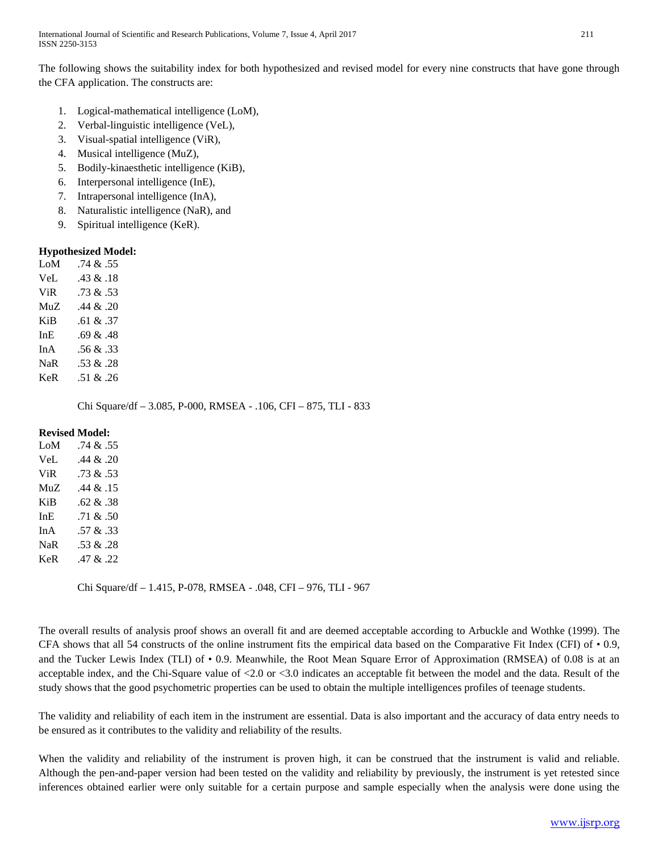The following shows the suitability index for both hypothesized and revised model for every nine constructs that have gone through the CFA application. The constructs are:

- 1. Logical-mathematical intelligence (LoM),
- 2. Verbal-linguistic intelligence (VeL),
- 3. Visual-spatial intelligence (ViR),
- 4. Musical intelligence (MuZ),
- 5. Bodily-kinaesthetic intelligence (KiB),
- 6. Interpersonal intelligence (InE),
- 7. Intrapersonal intelligence (InA),
- 8. Naturalistic intelligence (NaR), and
- 9. Spiritual intelligence (KeR).

# **Hypothesized Model:**

| LoM        | .74 & 55     |
|------------|--------------|
| VeL        | $.43 \& .18$ |
| <b>ViR</b> | .73 & 53     |
| MuZ.       | $.44 \& .20$ |
| KiB        | .61 & 0.37   |
| InE        | .69 & 48     |
| In A       | .56 & .33    |
| <b>NaR</b> | .53 & 28     |
| KeR        | .51 & .26    |
|            |              |

Chi Square/df – 3.085, P-000, RMSEA - .106, CFI – 875, TLI - 833

# **Revised Model:**

| LoM        | .74 & 55     |
|------------|--------------|
| VeL        | .44 & .20    |
| <b>ViR</b> | .73 & .53    |
| MuZ.       | $.44 \& 15$  |
| KiB        | .62 & 38     |
| InE.       | $.71 \& .50$ |
| In A       | .57 & 0.33   |
| NaR        | .53 & 28     |
| KeR        | .47 & .22    |

Chi Square/df – 1.415, P-078, RMSEA - .048, CFI – 976, TLI - 967

The overall results of analysis proof shows an overall fit and are deemed acceptable according to Arbuckle and Wothke (1999). The CFA shows that all 54 constructs of the online instrument fits the empirical data based on the Comparative Fit Index (CFI) of  $\cdot$  0.9, and the Tucker Lewis Index (TLI) of • 0.9. Meanwhile, the Root Mean Square Error of Approximation (RMSEA) of 0.08 is at an acceptable index, and the Chi-Square value of  $\langle 2.0 \text{ or } \langle 3.0 \text{ indicates an acceptable fit between the model and the data. Result of the$ study shows that the good psychometric properties can be used to obtain the multiple intelligences profiles of teenage students.

The validity and reliability of each item in the instrument are essential. Data is also important and the accuracy of data entry needs to be ensured as it contributes to the validity and reliability of the results.

When the validity and reliability of the instrument is proven high, it can be construed that the instrument is valid and reliable. Although the pen-and-paper version had been tested on the validity and reliability by previously, the instrument is yet retested since inferences obtained earlier were only suitable for a certain purpose and sample especially when the analysis were done using the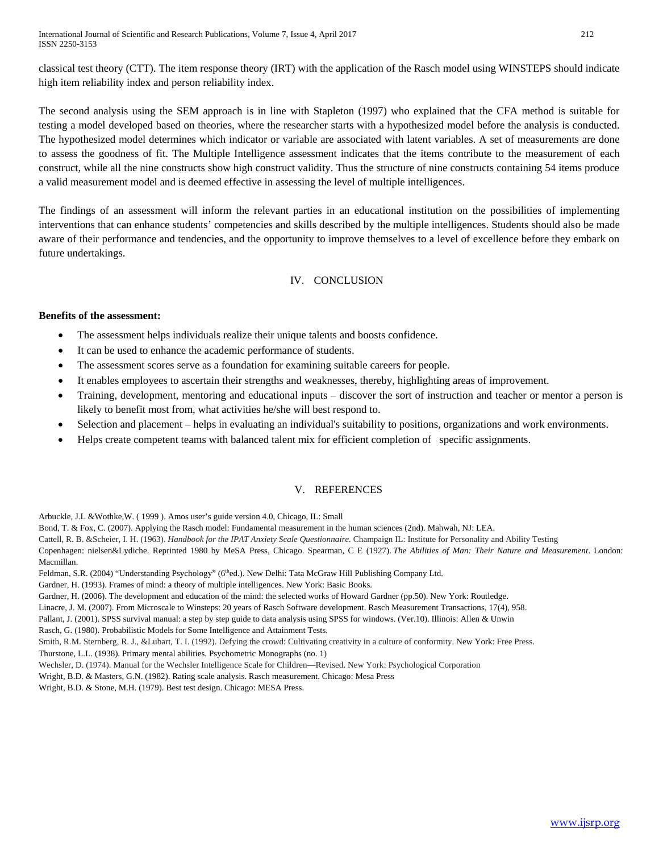classical test theory (CTT). The item response theory (IRT) with the application of the Rasch model using WINSTEPS should indicate high item reliability index and person reliability index.

The second analysis using the SEM approach is in line with Stapleton (1997) who explained that the CFA method is suitable for testing a model developed based on theories, where the researcher starts with a hypothesized model before the analysis is conducted. The hypothesized model determines which indicator or variable are associated with latent variables. A set of measurements are done to assess the goodness of fit. The Multiple Intelligence assessment indicates that the items contribute to the measurement of each construct, while all the nine constructs show high construct validity. Thus the structure of nine constructs containing 54 items produce a valid measurement model and is deemed effective in assessing the level of multiple intelligences.

The findings of an assessment will inform the relevant parties in an educational institution on the possibilities of implementing interventions that can enhance students' competencies and skills described by the multiple intelligences. Students should also be made aware of their performance and tendencies, and the opportunity to improve themselves to a level of excellence before they embark on future undertakings.

# IV. CONCLUSION

# **Benefits of the assessment:**

- The assessment helps individuals realize their unique talents and boosts confidence.
- It can be used to enhance the academic performance of students.
- The assessment scores serve as a foundation for examining suitable careers for people.
- It enables employees to ascertain their strengths and weaknesses, thereby, highlighting areas of improvement.
- Training, development, mentoring and educational inputs discover the sort of instruction and teacher or mentor a person is likely to benefit most from, what activities he/she will best respond to.
- Selection and placement helps in evaluating an individual's suitability to positions, organizations and work environments.
- Helps create competent teams with balanced talent mix for efficient completion of specific assignments.

## V. REFERENCES

Arbuckle, J.L &Wothke,W. ( 1999 ). Amos user's guide version 4.0, Chicago, IL: Small

Bond, T. & Fox, C. (2007). Applying the Rasch model: Fundamental measurement in the human sciences (2nd). Mahwah, NJ: LEA.

Cattell, R. B. &Scheier, I. H. (1963). *Handbook for the IPAT Anxiety Scale Questionnaire.* Champaign IL: Institute for Personality and Ability Testing

Copenhagen: nielsen&Lydiche. Reprinted 1980 by MeSA Press, Chicago. Spearman, C E (1927). *The Abilities of Man: Their Nature and Measurement*. London: Macmillan.

Feldman, S.R. (2004) "Understanding Psychology" (6<sup>th</sup>ed.). New Delhi: Tata McGraw Hill Publishing Company Ltd.

Gardner, H. (1993). Frames of mind: a theory of multiple intelligences. New York: Basic Books.

Gardner, H. (2006). The development and education of the mind: the selected works of Howard Gardner (pp.50). New York: Routledge.

Linacre, J. M. (2007). From Microscale to Winsteps: 20 years of Rasch Software development. Rasch Measurement Transactions, 17(4), 958.

Pallant, J. (2001). SPSS survival manual: a step by step guide to data analysis using SPSS for windows. (Ver.10). Illinois: Allen & Unwin

Rasch, G. (1980). Probabilistic Models for Some Intelligence and Attainment Tests.

Smith, R.M. Sternberg, R. J., &Lubart, T. I. (1992). Defying the crowd: Cultivating creativity in a culture of conformity. New York: Free Press. Thurstone, L.L. (1938). Primary mental abilities. Psychometric Monographs (no. 1)

Wechsler, D. (1974). Manual for the Wechsler Intelligence Scale for Children—Revised. New York: Psychological Corporation

Wright, B.D. & Masters, G.N. (1982). Rating scale analysis. Rasch measurement. Chicago: Mesa Press

Wright, B.D. & Stone, M.H. (1979). Best test design. Chicago: MESA Press.